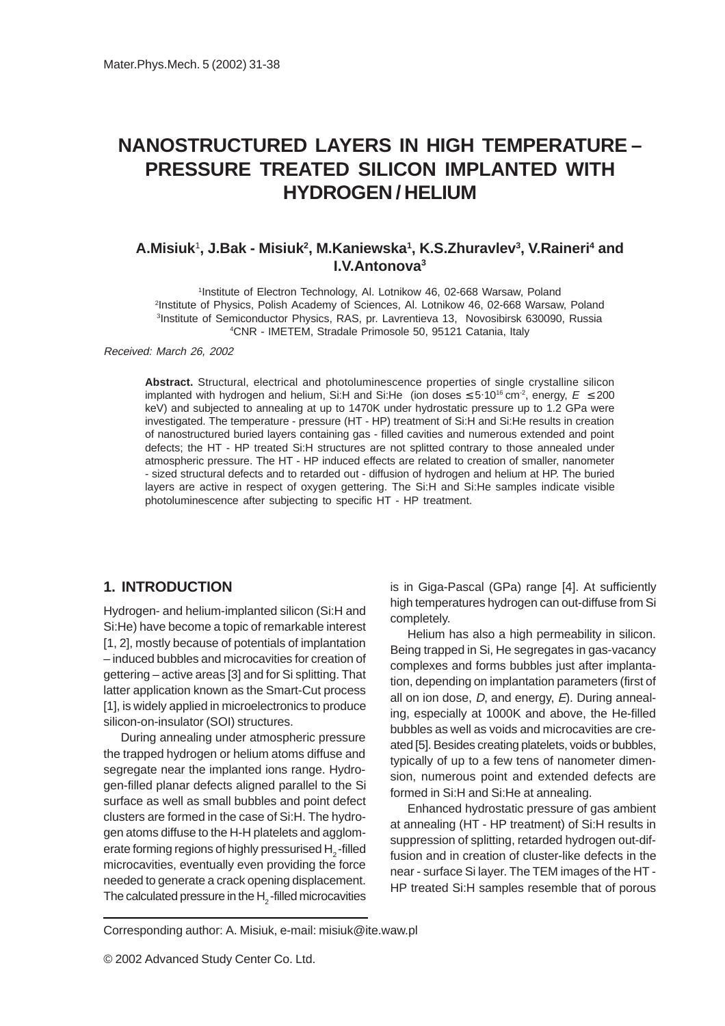# **NANOSTRUCTURED LAYERS IN HIGH TEMPERATURE – PRESSURE TREATED SILICON IMPLANTED WITH HYDROGEN / HELIUM**

# **A.Misiuk**<sup>1</sup> **, J.Bak - Misiuk2 , M.Kaniewska1 , K.S.Zhuravlev3 , V.Raineri4 and I.V.Antonova3**

<sup>1</sup>Institute of Electron Technology, Al. Lotnikow 46, 02-668 Warsaw, Poland Institute of Physics, Polish Academy of Sciences, Al. Lotnikow 46, 02-668 Warsaw, Poland Institute of Semiconductor Physics, RAS, pr. Lavrentieva 13, Novosibirsk 630090, Russia CNR - IMETEM, Stradale Primosole 50, 95121 Catania, Italy

Received: March 26, 2002

**Abstract.** Structural, electrical and photoluminescence properties of single crystalline silicon implanted with hydrogen and helium, Si:H and Si:He (ion doses  $\leq 5.10^{16}$  cm<sup>-2</sup>, energy,  $E \leq 200$ keV) and subjected to annealing at up to 1470K under hydrostatic pressure up to 1.2 GPa were investigated. The temperature - pressure (HT - HP) treatment of Si:H and Si:He results in creation of nanostructured buried layers containing gas - filled cavities and numerous extended and point defects; the HT - HP treated Si:H structures are not splitted contrary to those annealed under atmospheric pressure. The HT - HP induced effects are related to creation of smaller, nanometer - sized structural defects and to retarded out - diffusion of hydrogen and helium at HP. The buried layers are active in respect of oxygen gettering. The Si:H and Si:He samples indicate visible photoluminescence after subjecting to specific HT - HP treatment.

# **1. INTRODUCTION**

Hydrogen- and helium-implanted silicon (Si:H and Si:He) have become a topic of remarkable interest [1, 2], mostly because of potentials of implantation – induced bubbles and microcavities for creation of gettering – active areas [3] and for Si splitting. That latter application known as the Smart-Cut process [1], is widely applied in microelectronics to produce silicon-on-insulator (SOI) structures.

During annealing under atmospheric pressure the trapped hydrogen or helium atoms diffuse and segregate near the implanted ions range. Hydrogen-filled planar defects aligned parallel to the Si surface as well as small bubbles and point defect clusters are formed in the case of Si:H. The hydrogen atoms diffuse to the H-H platelets and agglomerate forming regions of highly pressurised H<sub>2</sub>-filled microcavities, eventually even providing the force needed to generate a crack opening displacement. The calculated pressure in the  $H<sub>2</sub>$ -filled microcavities

is in Giga-Pascal (GPa) range [4]. At sufficiently high temperatures hydrogen can out-diffuse from Si completely.

Helium has also a high permeability in silicon. Being trapped in Si, He segregates in gas-vacancy complexes and forms bubbles just after implantation, depending on implantation parameters (first of all on ion dose,  $D$ , and energy,  $E$ ). During annealing, especially at 1000K and above, the He-filled bubbles as well as voids and microcavities are created [5]. Besides creating platelets, voids or bubbles, typically of up to a few tens of nanometer dimension, numerous point and extended defects are formed in Si:H and Si:He at annealing.

Enhanced hydrostatic pressure of gas ambient at annealing (HT - HP treatment) of Si:H results in suppression of splitting, retarded hydrogen out-diffusion and in creation of cluster-like defects in the near - surface Si layer. The TEM images of the HT - HP treated Si:H samples resemble that of porous

Corresponding author: A. Misiuk, e-mail: misiuk@ite.waw.pl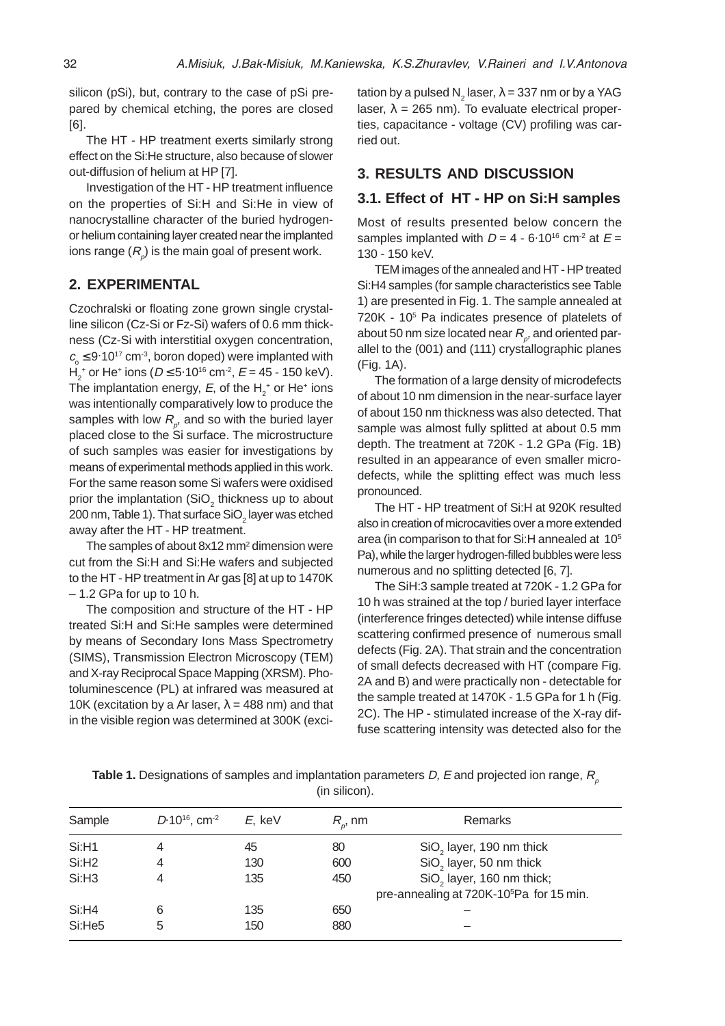silicon (pSi), but, contrary to the case of pSi prepared by chemical etching, the pores are closed [6].

The HT - HP treatment exerts similarly strong effect on the Si:He structure, also because of slower out-diffusion of helium at HP [7].

Investigation of the HT - HP treatment influence on the properties of Si:H and Si:He in view of nanocrystalline character of the buried hydrogenor helium containing layer created near the implanted ions range  $(R_{_\rho})$  is the main goal of present work.

# **2. EXPERIMENTAL**

Czochralski or floating zone grown single crystalline silicon (Cz-Si or Fz-Si) wafers of 0.6 mm thickness (Cz-Si with interstitial oxygen concentration,  $c_{\rm o}$   $\leq$  9 $\cdot$ 10<sup>17</sup> cm<sup>-3</sup>, boron doped) were implanted with  $H_2^+$  or He<sup>+</sup> ions (D ≤ 5·10<sup>16</sup> cm<sup>-2</sup>, E = 45 - 150 keV). The implantation energy, E, of the  $H_2^+$  or He $^+$  ions was intentionally comparatively low to produce the samples with low  $R_{\rho}^{\phantom{\dag}},$  and so with the buried layer placed close to the Si surface. The microstructure of such samples was easier for investigations by means of experimental methods applied in this work. For the same reason some Si wafers were oxidised prior the implantation (SiO $_2$  thickness up to about 200 nm, Table 1). That surface SiO $_2$  layer was etched away after the HT - HP treatment.

The samples of about  $8x12$  mm<sup>2</sup> dimension were cut from the Si:H and Si:He wafers and subjected to the HT - HP treatment in Ar gas [8] at up to 1470K – 1.2 GPa for up to 10 h.

The composition and structure of the HT - HP treated Si:H and Si:He samples were determined by means of Secondary Ions Mass Spectrometry (SIMS), Transmission Electron Microscopy (TEM) and X-ray Reciprocal Space Mapping (XRSM). Photoluminescence (PL) at infrared was measured at 10K (excitation by a Ar laser,  $\lambda$  = 488 nm) and that in the visible region was determined at 300K (excitation by a pulsed N $_2$  laser,  $\lambda$  = 337 nm or by a YAG laser,  $\lambda = 265$  nm). To evaluate electrical properties, capacitance - voltage (CV) profiling was carried out.

## **3. RESULTS AND DISCUSSION**

#### **3.1. Effect of HT - HP on Si:H samples**

Most of results presented below concern the samples implanted with  $D = 4 - 6.10^{16}$  cm<sup>-2</sup> at  $E =$ 130 - 150 keV.

TEM images of the annealed and HT - HP treated Si:H4 samples (for sample characteristics see Table 1) are presented in Fig. 1. The sample annealed at 720K - 105 Pa indicates presence of platelets of about 50 nm size located near  $R_{_{\rho}^{\prime}}$  and oriented parallel to the (001) and (111) crystallographic planes (Fig. 1A).

The formation of a large density of microdefects of about 10 nm dimension in the near-surface layer of about 150 nm thickness was also detected. That sample was almost fully splitted at about 0.5 mm depth. The treatment at 720K - 1.2 GPa (Fig. 1B) resulted in an appearance of even smaller microdefects, while the splitting effect was much less pronounced.

The HT - HP treatment of Si:H at 920K resulted also in creation of microcavities over a more extended area (in comparison to that for Si:H annealed at 105 Pa), while the larger hydrogen-filled bubbles were less numerous and no splitting detected [6, 7].

The SiH:3 sample treated at 720K - 1.2 GPa for 10 h was strained at the top / buried layer interface (interference fringes detected) while intense diffuse scattering confirmed presence of numerous small defects (Fig. 2A). That strain and the concentration of small defects decreased with HT (compare Fig. 2A and B) and were practically non - detectable for the sample treated at 1470K - 1.5 GPa for 1 h (Fig. 2C). The HP - stimulated increase of the X-ray diffuse scattering intensity was detected also for the

| Sample            | $D.10^{16}$ , cm <sup>-2</sup> | E. keV | $R_{\scriptscriptstyle n}$ , nm | <b>Remarks</b>                                       |
|-------------------|--------------------------------|--------|---------------------------------|------------------------------------------------------|
| Si:H1             | 4                              | 45     | 80                              | SiO <sub>2</sub> layer, 190 nm thick                 |
| Si:H <sub>2</sub> | 4                              | 130    | 600                             | SiO <sub>2</sub> layer, 50 nm thick                  |
| Si: H3            | 4                              | 135    | 450                             | SiO <sub>2</sub> layer, 160 nm thick;                |
|                   |                                |        |                                 | pre-annealing at 720K-10 <sup>5</sup> Pa for 15 min. |
| Si:H4             | 6                              | 135    | 650                             |                                                      |
| Si:He5            | 5                              | 150    | 880                             |                                                      |

**Table 1.** Designations of samples and implantation parameters D, E and projected ion range, R<sub>n</sub> (in silicon).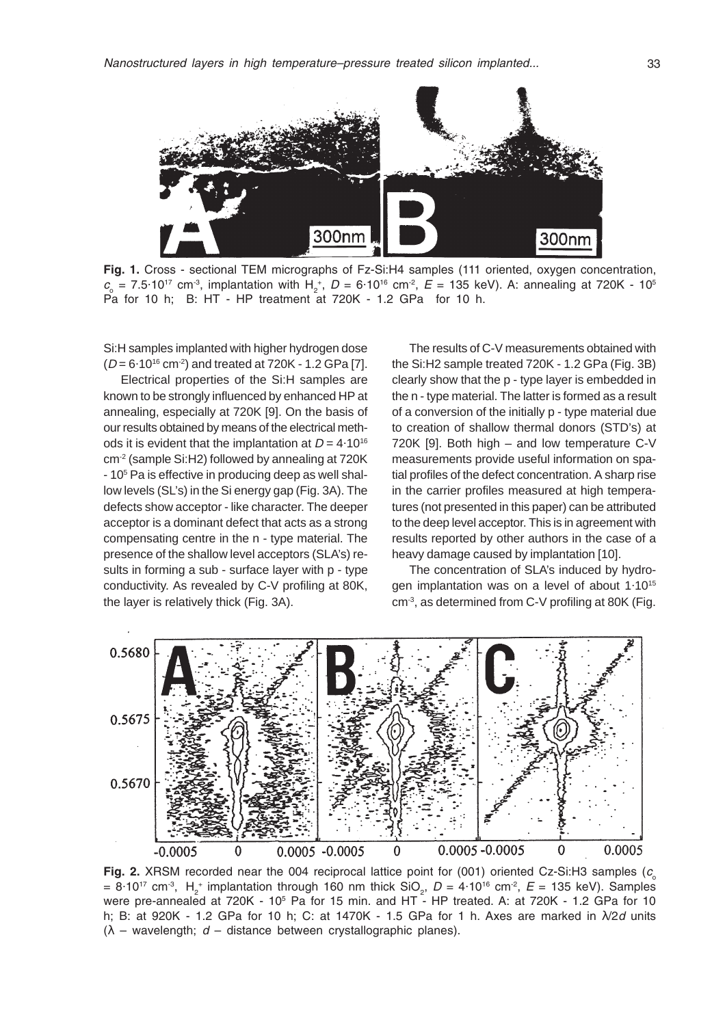

Fig. 1. Cross - sectional TEM micrographs of Fz-Si:H4 samples (111 oriented, oxygen concentration,  $c_0 = 7.5 \cdot 10^{17}$  cm<sup>-3</sup>, implantation with H<sub>2</sub><sup>+</sup>, D = 6.10<sup>16</sup> cm<sup>-2</sup>, E = 135 keV). A: annealing at 720K - 10<sup>5</sup> Pa for 10 h; B: HT - HP treatment at 720K - 1.2 GPa for 10 h.

Si:H samples implanted with higher hydrogen dose  $(D = 6.10^{16} \text{ cm}^2)$  and treated at 720K - 1.2 GPa [7].

Electrical properties of the Si:H samples are known to be strongly influenced by enhanced HP at annealing, especially at 720K [9]. On the basis of our results obtained by means of the electrical methods it is evident that the implantation at  $D = 4.10^{16}$ cm-2 (sample Si:H2) followed by annealing at 720K - 10<sup>5</sup> Pa is effective in producing deep as well shallow levels (SL's) in the Si energy gap (Fig. 3A). The defects show acceptor - like character. The deeper acceptor is a dominant defect that acts as a strong compensating centre in the n - type material. The presence of the shallow level acceptors (SLA's) results in forming a sub - surface layer with p - type conductivity. As revealed by C-V profiling at 80K, the layer is relatively thick (Fig. 3A).

The results of C-V measurements obtained with the Si:H2 sample treated 720K - 1.2 GPa (Fig. 3B) clearly show that the p - type layer is embedded in the n - type material. The latter is formed as a result of a conversion of the initially p - type material due to creation of shallow thermal donors (STD's) at 720K [9]. Both high – and low temperature C-V measurements provide useful information on spatial profiles of the defect concentration. A sharp rise in the carrier profiles measured at high temperatures (not presented in this paper) can be attributed to the deep level acceptor. This is in agreement with results reported by other authors in the case of a heavy damage caused by implantation [10].

The concentration of SLA's induced by hydrogen implantation was on a level of about 1.10<sup>15</sup>  $cm<sup>3</sup>$ , as determined from C-V profiling at 80K (Fig.



Fig. 2. XRSM recorded near the 004 reciprocal lattice point for (001) oriented Cz-Si:H3 samples ( $c<sub>s</sub>$ =  $8.10^{17}$  cm<sup>-3</sup>, H<sub>2</sub><sup>+</sup> implantation through 160 nm thick SiO<sub>2</sub>, D =  $4.10^{16}$  cm<sup>-2</sup>, E = 135 keV). Samples were pre-annealed at 720K - 10<sup>5</sup> Pa for 15 min. and HT - HP treated. A: at 720K - 1.2 GPa for 10 h; B: at 920K - 1.2 GPa for 10 h; C: at 1470K - 1.5 GPa for 1 h. Axes are marked in  $\lambda/2d$  units  $(λ - wavelength; d - distance between crystallographic planes).$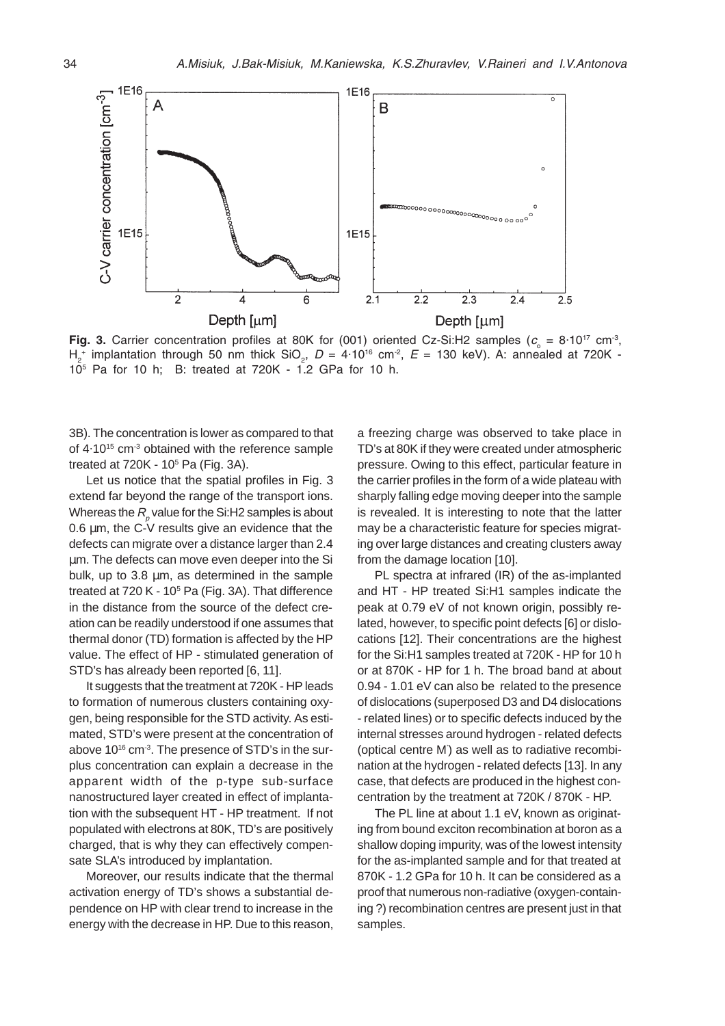

Fig. 3. Carrier concentration profiles at 80K for (001) oriented Cz-Si:H2 samples ( $c_{\circ} = 8.10^{17}$  cm<sup>-3</sup>,  $H_2^+$  implantation through 50 nm thick SiO<sub>2</sub>, D = 4.10<sup>16</sup> cm<sup>2</sup>, E = 130 keV). A: annealed at 720K -105 Pa for 10 h; B: treated at 720K - 1.2 GPa for 10 h.

3B). The concentration is lower as compared to that of  $4.10^{15}$  cm<sup>-3</sup> obtained with the reference sample treated at  $720K - 10<sup>5</sup>$  Pa (Fig. 3A).

Let us notice that the spatial profiles in Fig. 3 extend far beyond the range of the transport ions. Whereas the  $R_{_{\rho}}$  value for the Si:H2 samples is about 0.6 µm, the C-V results give an evidence that the defects can migrate over a distance larger than 2.4 µm. The defects can move even deeper into the Si bulk, up to 3.8 µm, as determined in the sample treated at 720 K - 10<sup>5</sup> Pa (Fig. 3A). That difference in the distance from the source of the defect creation can be readily understood if one assumes that thermal donor (TD) formation is affected by the HP value. The effect of HP - stimulated generation of STD's has already been reported [6, 11].

It suggests that the treatment at 720K - HP leads to formation of numerous clusters containing oxygen, being responsible for the STD activity. As estimated, STD's were present at the concentration of above 10<sup>16</sup> cm<sup>-3</sup>. The presence of STD's in the surplus concentration can explain a decrease in the apparent width of the p-type sub-surface nanostructured layer created in effect of implantation with the subsequent HT - HP treatment. If not populated with electrons at 80K, TD's are positively charged, that is why they can effectively compensate SLA's introduced by implantation.

Moreover, our results indicate that the thermal activation energy of TD's shows a substantial dependence on HP with clear trend to increase in the energy with the decrease in HP. Due to this reason,

a freezing charge was observed to take place in TD's at 80K if they were created under atmospheric pressure. Owing to this effect, particular feature in the carrier profiles in the form of a wide plateau with sharply falling edge moving deeper into the sample is revealed. It is interesting to note that the latter may be a characteristic feature for species migrating over large distances and creating clusters away from the damage location [10].

PL spectra at infrared (IR) of the as-implanted and HT - HP treated Si:H1 samples indicate the peak at 0.79 eV of not known origin, possibly related, however, to specific point defects [6] or dislocations [12]. Their concentrations are the highest for the Si:H1 samples treated at 720K - HP for 10 h or at 870K - HP for 1 h. The broad band at about 0.94 - 1.01 eV can also be related to the presence of dislocations (superposed D3 and D4 dislocations - related lines) or to specific defects induced by the internal stresses around hydrogen - related defects (optical centre M' ) as well as to radiative recombination at the hydrogen - related defects [13]. In any case, that defects are produced in the highest concentration by the treatment at 720K / 870K - HP.

The PL line at about 1.1 eV, known as originating from bound exciton recombination at boron as a shallow doping impurity, was of the lowest intensity for the as-implanted sample and for that treated at 870K - 1.2 GPa for 10 h. It can be considered as a proof that numerous non-radiative (oxygen-containing ?) recombination centres are present just in that samples.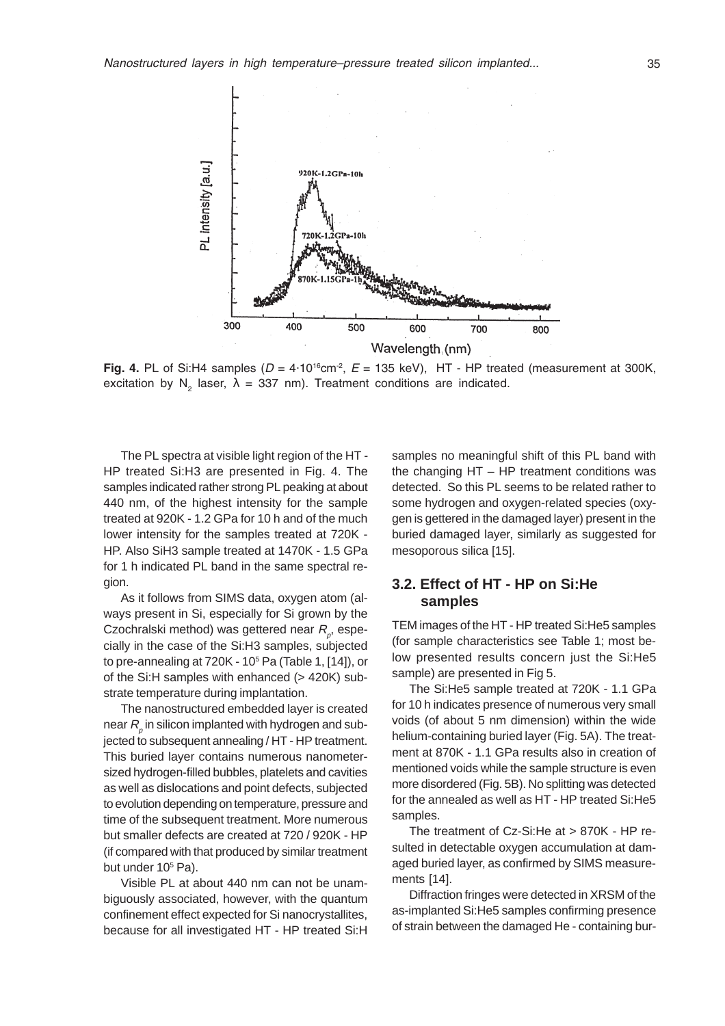

Fig. 4. PL of Si:H4 samples  $(D = 4.10^{16} \text{cm}^2, E = 135 \text{ keV}), HT - HP$  treated (measurement at 300K, excitation by N<sub>2</sub> laser,  $\lambda$  = 337 nm). Treatment conditions are indicated.

The PL spectra at visible light region of the HT - HP treated Si:H3 are presented in Fig. 4. The samples indicated rather strong PL peaking at about 440 nm, of the highest intensity for the sample treated at 920K - 1.2 GPa for 10 h and of the much lower intensity for the samples treated at 720K - HP. Also SiH3 sample treated at 1470K - 1.5 GPa for 1 h indicated PL band in the same spectral region.

As it follows from SIMS data, oxygen atom (always present in Si, especially for Si grown by the Czochralski method) was gettered near  $R_{\rho}^{\phantom{\dag}},$  especially in the case of the Si:H3 samples, subjected to pre-annealing at 720K - 10<sup>5</sup> Pa (Table 1, [14]), or of the Si:H samples with enhanced (> 420K) substrate temperature during implantation.

The nanostructured embedded layer is created near  $R_{_\rho}$  in silicon implanted with hydrogen and subjected to subsequent annealing / HT - HP treatment. This buried layer contains numerous nanometersized hydrogen-filled bubbles, platelets and cavities as well as dislocations and point defects, subjected to evolution depending on temperature, pressure and time of the subsequent treatment. More numerous but smaller defects are created at 720 / 920K - HP (if compared with that produced by similar treatment but under 10<sup>5</sup> Pa).

Visible PL at about 440 nm can not be unambiguously associated, however, with the quantum confinement effect expected for Si nanocrystallites, because for all investigated HT - HP treated Si:H samples no meaningful shift of this PL band with the changing HT – HP treatment conditions was detected. So this PL seems to be related rather to some hydrogen and oxygen-related species (oxygen is gettered in the damaged layer) present in the buried damaged layer, similarly as suggested for mesoporous silica [15].

# **3.2. Effect of HT - HP on Si:He samples**

TEM images of the HT - HP treated Si:He5 samples (for sample characteristics see Table 1; most below presented results concern just the Si:He5 sample) are presented in Fig 5.

The Si:He5 sample treated at 720K - 1.1 GPa for 10 h indicates presence of numerous very small voids (of about 5 nm dimension) within the wide helium-containing buried layer (Fig. 5A). The treatment at 870K - 1.1 GPa results also in creation of mentioned voids while the sample structure is even more disordered (Fig. 5B). No splitting was detected for the annealed as well as HT - HP treated Si:He5 samples.

The treatment of Cz-Si:He at > 870K - HP resulted in detectable oxygen accumulation at damaged buried layer, as confirmed by SIMS measurements [14].

Diffraction fringes were detected in XRSM of the as-implanted Si:He5 samples confirming presence of strain between the damaged He - containing bur-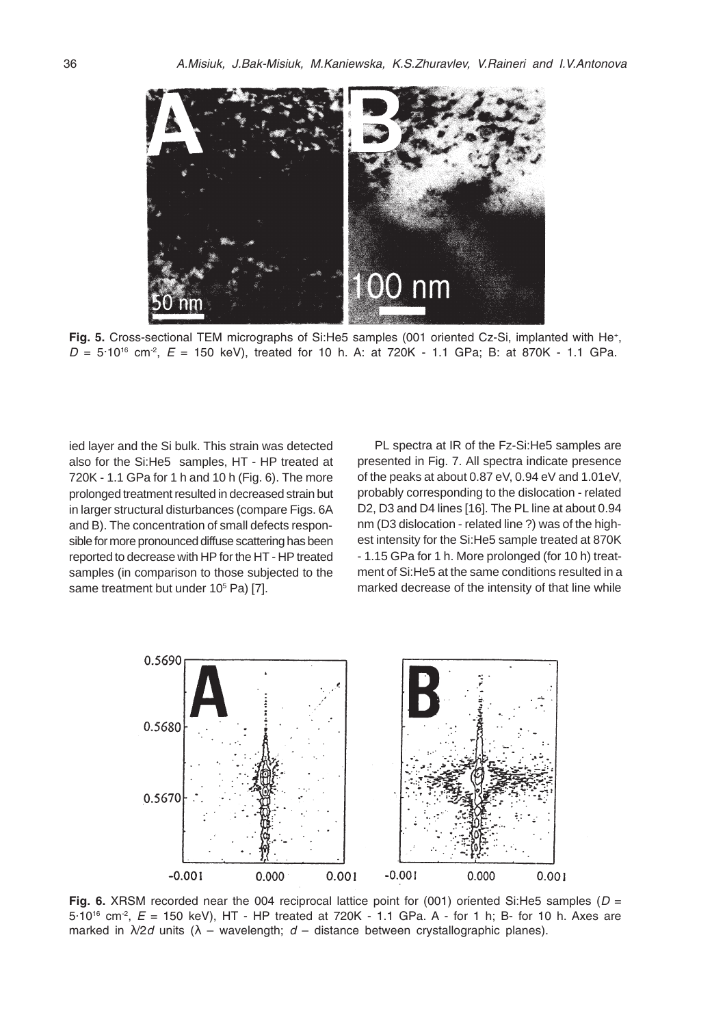

Fig. 5. Cross-sectional TEM micrographs of Si:He5 samples (001 oriented Cz-Si, implanted with He<sup>+</sup>,  $D = 5.10^{16}$  cm<sup>2</sup>,  $E = 150$  keV), treated for 10 h. A: at 720K - 1.1 GPa; B: at 870K - 1.1 GPa.

ied layer and the Si bulk. This strain was detected also for the Si:He5 samples, HT - HP treated at 720K - 1.1 GPa for 1 h and 10 h (Fig. 6). The more prolonged treatment resulted in decreased strain but in larger structural disturbances (compare Figs. 6A and B). The concentration of small defects responsible for more pronounced diffuse scattering has been reported to decrease with HP for the HT - HP treated samples (in comparison to those subjected to the same treatment but under 10<sup>5</sup> Pa) [7].

PL spectra at IR of the Fz-Si:He5 samples are presented in Fig. 7. All spectra indicate presence of the peaks at about 0.87 eV, 0.94 eV and 1.01eV, probably corresponding to the dislocation - related D2, D3 and D4 lines [16]. The PL line at about 0.94 nm (D3 dislocation - related line ?) was of the highest intensity for the Si:He5 sample treated at 870K - 1.15 GPa for 1 h. More prolonged (for 10 h) treatment of Si:He5 at the same conditions resulted in a marked decrease of the intensity of that line while



Fig. 6. XRSM recorded near the 004 reciprocal lattice point for (001) oriented Si:He5 samples ( $D =$  $5.10^{16}$  cm<sup>-2</sup>,  $E = 150$  keV), HT - HP treated at 720K - 1.1 GPa. A - for 1 h; B- for 10 h. Axes are marked in  $\lambda/2d$  units ( $\lambda$  – wavelength;  $d$  – distance between crystallographic planes).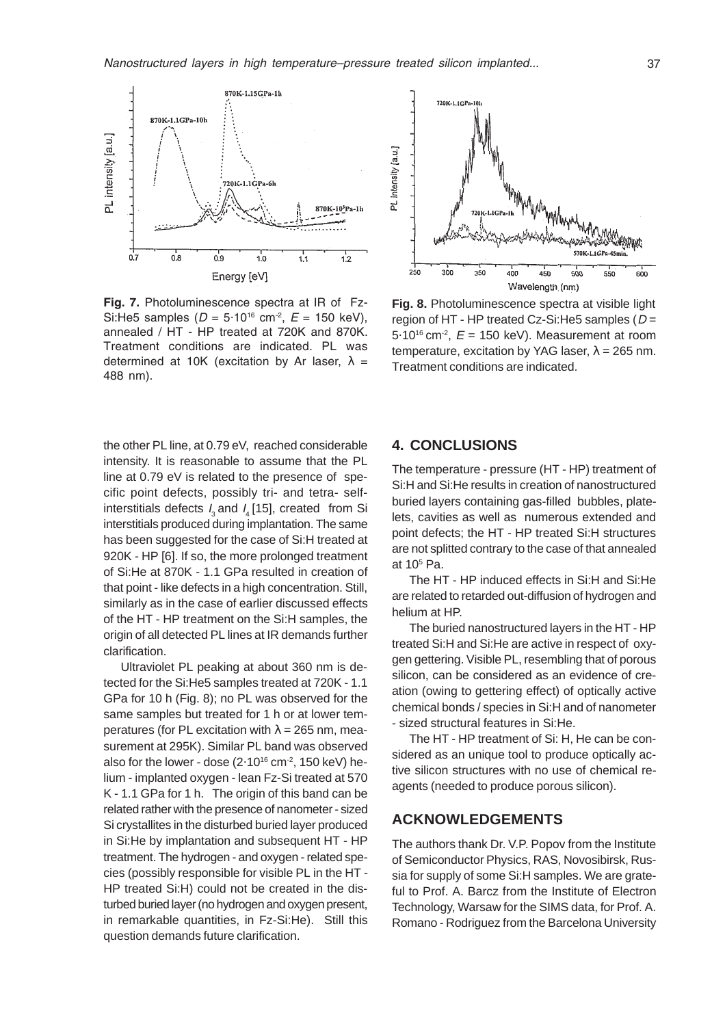

Fig. 7. Photoluminescence spectra at IR of Fz-Si:He5 samples ( $D = 5.10^{16}$  cm<sup>-2</sup>,  $E = 150$  keV), annealed / HT - HP treated at 720K and 870K. Treatment conditions are indicated. PL was determined at 10K (excitation by Ar laser,  $\lambda =$ 488 nm).



**Fig. 8.** Photoluminescence spectra at visible light region of HT - HP treated Cz-Si: He 5 samples ( $D =$  $5.10^{16}$  cm<sup>-2</sup>,  $E = 150$  keV). Measurement at room temperature, excitation by YAG laser,  $\lambda = 265$  nm. Treatment conditions are indicated.

the other PL line, at 0.79 eV, reached considerable intensity. It is reasonable to assume that the PL line at 0.79 eV is related to the presence of specific point defects, possibly tri- and tetra- selfinterstitials defects  $I_2$  and  $I_4$  [15], created from Si interstitials produced during implantation. The same has been suggested for the case of Si:H treated at 920K - HP [6]. If so, the more prolonged treatment of Si:He at 870K - 1.1 GPa resulted in creation of that point - like defects in a high concentration. Still, similarly as in the case of earlier discussed effects of the HT - HP treatment on the Si:H samples, the origin of all detected PL lines at IR demands further clarification.

Ultraviolet PL peaking at about 360 nm is detected for the Si:He5 samples treated at 720K - 1.1 GPa for 10 h (Fig. 8); no PL was observed for the same samples but treated for 1 h or at lower temperatures (for PL excitation with  $\lambda = 265$  nm, measurement at 295K). Similar PL band was observed also for the lower - dose  $(2.10^{16} \text{ cm}^2, 150 \text{ keV})$  helium - implanted oxygen - lean Fz-Si treated at 570 K - 1.1 GPa for 1 h. The origin of this band can be related rather with the presence of nanometer - sized Si crystallites in the disturbed buried layer produced in Si:He by implantation and subsequent HT - HP treatment. The hydrogen - and oxygen - related species (possibly responsible for visible PL in the HT - HP treated Si:H) could not be created in the disturbed buried layer (no hydrogen and oxygen present, in remarkable quantities, in Fz-Si:He). Still this question demands future clarification.

## **4. CONCLUSIONS**

The temperature - pressure (HT - HP) treatment of Si:H and Si:He results in creation of nanostructured buried layers containing gas-filled bubbles, platelets, cavities as well as numerous extended and point defects; the HT - HP treated Si:H structures are not splitted contrary to the case of that annealed at 105 Pa.

The HT - HP induced effects in Si:H and Si:He are related to retarded out-diffusion of hydrogen and helium at HP.

The buried nanostructured layers in the HT - HP treated Si:H and Si:He are active in respect of oxygen gettering. Visible PL, resembling that of porous silicon, can be considered as an evidence of creation (owing to gettering effect) of optically active chemical bonds / species in Si:H and of nanometer - sized structural features in Si:He.

The HT - HP treatment of Si: H, He can be considered as an unique tool to produce optically active silicon structures with no use of chemical reagents (needed to produce porous silicon).

# **ACKNOWLEDGEMENTS**

The authors thank Dr. V.P. Popov from the Institute of Semiconductor Physics, RAS, Novosibirsk, Russia for supply of some Si:H samples. We are grateful to Prof. A. Barcz from the Institute of Electron Technology, Warsaw for the SIMS data, for Prof. A. Romano - Rodriguez from the Barcelona University